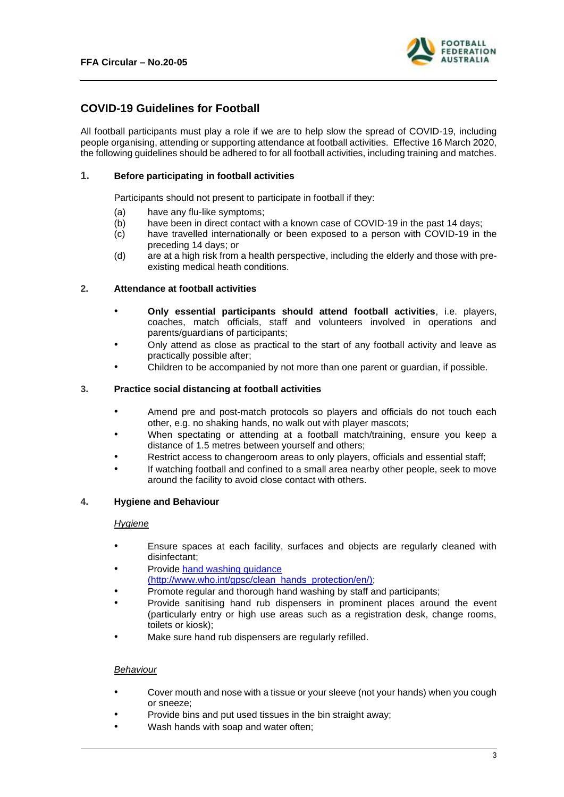

# **COVID-19 Guidelines for Football**

All football participants must play a role if we are to help slow the spread of COVID-19, including people organising, attending or supporting attendance at football activities. Effective 16 March 2020, the following guidelines should be adhered to for all football activities, including training and matches.

## **1. Before participating in football activities**

Participants should not present to participate in football if they:

- (a) have any flu-like symptoms;
- (b) have been in direct contact with a known case of COVID-19 in the past 14 days;
- (c) have travelled internationally or been exposed to a person with COVID-19 in the preceding 14 days; or
- (d) are at a high risk from a health perspective, including the elderly and those with preexisting medical heath conditions.

#### **2. Attendance at football activities**

- **Only essential participants should attend football activities**, i.e. players, coaches, match officials, staff and volunteers involved in operations and parents/guardians of participants;
- Only attend as close as practical to the start of any football activity and leave as practically possible after;
- Children to be accompanied by not more than one parent or guardian, if possible.

#### **3. Practice social distancing at football activities**

- Amend pre and post-match protocols so players and officials do not touch each other, e.g. no shaking hands, no walk out with player mascots;
- When spectating or attending at a football match/training, ensure you keep a distance of 1.5 metres between yourself and others;
- Restrict access to changeroom areas to only players, officials and essential staff;
- If watching football and confined to a small area nearby other people, seek to move around the facility to avoid close contact with others.

#### **4. Hygiene and Behaviour**

#### *Hygiene*

- Ensure spaces at each facility, surfaces and objects are regularly cleaned with disinfectant;
- Provide [hand washing guidance](http://www.who.int/gpsc/clean_hands_protection/en/) (http://www.who.int/gpsc/clean\_hands\_protection/en/);
- Promote regular and thorough hand washing by staff and participants;
- Provide sanitising hand rub dispensers in prominent places around the event (particularly entry or high use areas such as a registration desk, change rooms, toilets or kiosk);
- Make sure hand rub dispensers are regularly refilled.

#### *Behaviour*

- Cover mouth and nose with a tissue or your sleeve (not your hands) when you cough or sneeze;
- Provide bins and put used tissues in the bin straight away;
- Wash hands with soap and water often;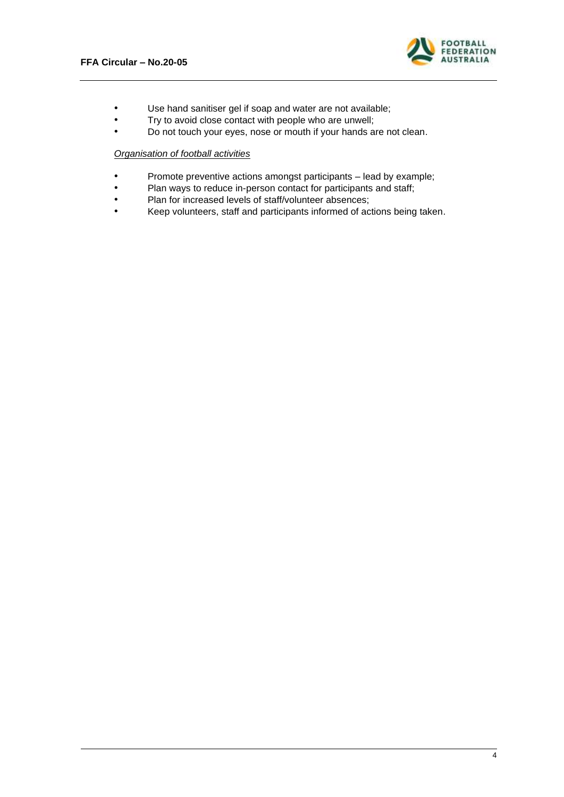

- Use hand sanitiser gel if soap and water are not available;
- Try to avoid close contact with people who are unwell;
- Do not touch your eyes, nose or mouth if your hands are not clean.

### *Organisation of football activities*

- Promote preventive actions amongst participants lead by example;
- Plan ways to reduce in-person contact for participants and staff;
- Plan for increased levels of staff/volunteer absences;
- Keep volunteers, staff and participants informed of actions being taken.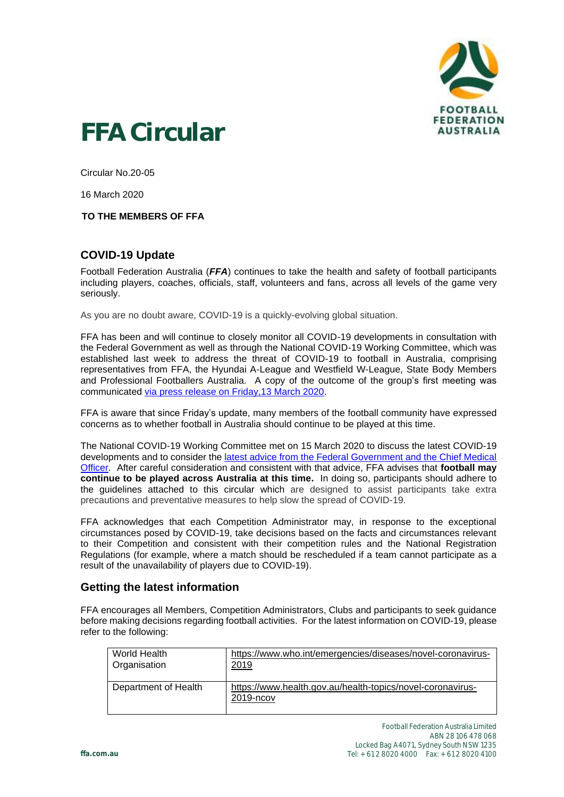

# **FFA Circular**

Circular No.20-05

16 March 2020

## **TO THE MEMBERS OF FFA**

# **COVID-19 Update**

Football Federation Australia (*FFA*) continues to take the health and safety of football participants including players, coaches, officials, staff, volunteers and fans, across all levels of the game very seriously.

As you are no doubt aware, COVID-19 is a quickly-evolving global situation.

FFA has been and will continue to closely monitor all COVID-19 developments in consultation with the Federal Government as well as through the National COVID-19 Working Committee, which was established last week to address the threat of COVID-19 to football in Australia, comprising representatives from FFA, the Hyundai A-League and Westfield W-League, State Body Members and Professional Footballers Australia. A copy of the outcome of the group's first meeting was communicated [via press release on Friday,13 March 2020.](https://www.ffa.com.au/news/ffa-statement-covid-19-impact-football-weekend-0)

FFA is aware that since Friday's update, many members of the football community have expressed concerns as to whether football in Australia should continue to be played at this time.

The National COVID-19 Working Committee met on 15 March 2020 to discuss the latest COVID-19 developments and to consider the [latest advice from the Federal Government and the Chief Medical](https://www.health.gov.au/news/health-alerts/novel-coronavirus-2019-ncov-health-alert)  [Officer.](https://www.health.gov.au/news/health-alerts/novel-coronavirus-2019-ncov-health-alert) After careful consideration and consistent with that advice, FFA advises that **football may continue to be played across Australia at this time.** In doing so, participants should adhere to the guidelines attached to this circular which are designed to assist participants take extra precautions and preventative measures to help slow the spread of COVID-19.

FFA acknowledges that each Competition Administrator may, in response to the exceptional circumstances posed by COVID-19, take decisions based on the facts and circumstances relevant to their Competition and consistent with their competition rules and the National Registration Regulations (for example, where a match should be rescheduled if a team cannot participate as a result of the unavailability of players due to COVID-19).

## **Getting the latest information**

FFA encourages all Members, Competition Administrators, Clubs and participants to seek guidance before making decisions regarding football activities. For the latest information on COVID-19, please refer to the following:

| World Health         | https://www.who.int/emergencies/diseases/novel-coronavirus-             |
|----------------------|-------------------------------------------------------------------------|
| Organisation         | 2019                                                                    |
| Department of Health | https://www.health.gov.au/health-topics/novel-coronavirus-<br>2019-ncov |